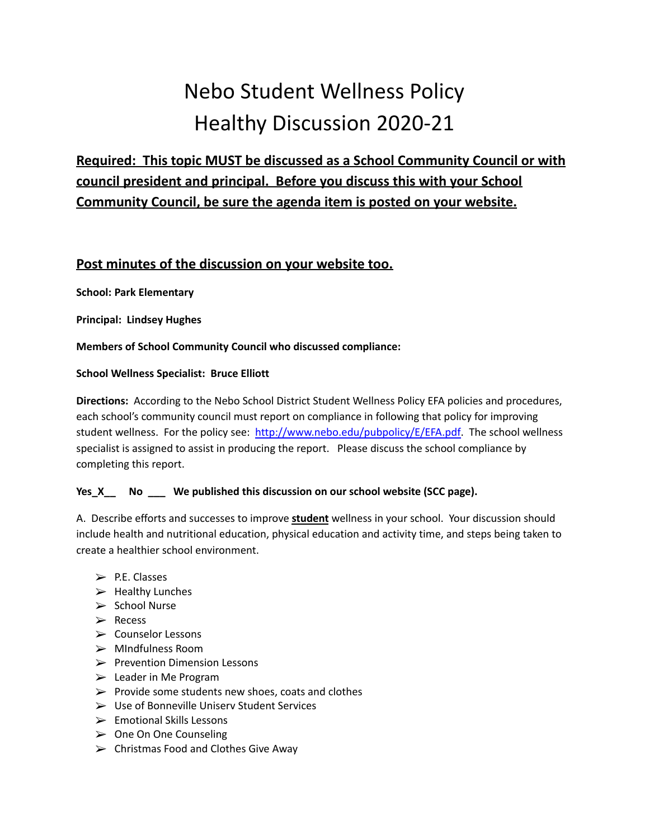## Nebo Student Wellness Policy Healthy Discussion 2020-21

**Required: This topic MUST be discussed as a School Community Council or with council president and principal. Before you discuss this with your School Community Council, be sure the agenda item is posted on your website.**

## **Post minutes of the discussion on your website too.**

**School: Park Elementary**

**Principal: Lindsey Hughes**

**Members of School Community Council who discussed compliance:**

## **School Wellness Specialist: Bruce Elliott**

**Directions:** According to the Nebo School District Student Wellness Policy EFA policies and procedures, each school's community council must report on compliance in following that policy for improving student wellness. For the policy see: [http://www.nebo.edu/pubpolicy/E/EFA.pdf.](http://www.nebo.edu/pubpolicy/E/EFA.pdf) The school wellness specialist is assigned to assist in producing the report. Please discuss the school compliance by completing this report.

## **Yes\_X\_\_ No \_\_\_ We published this discussion on our school website (SCC page).**

A. Describe efforts and successes to improve **student** wellness in your school. Your discussion should include health and nutritional education, physical education and activity time, and steps being taken to create a healthier school environment.

- $\triangleright$  P.E. Classes
- $\blacktriangleright$  Healthy Lunches
- ➢ School Nurse
- ➢ Recess
- ➢ Counselor Lessons
- ➢ MIndfulness Room
- ➢ Prevention Dimension Lessons
- $\triangleright$  Leader in Me Program
- $\triangleright$  Provide some students new shoes, coats and clothes
- ➢ Use of Bonneville Uniserv Student Services
- $\triangleright$  Emotional Skills Lessons
- ➢ One On One Counseling
- $\triangleright$  Christmas Food and Clothes Give Away